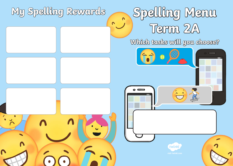## **My Spelling Rewards**

# **Spelling Menu Term 2A**

## **Which tasks will you choose?**



 $\mathbf{v}$ 

 $\mathbf{v}$